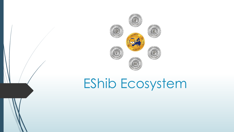

# **EShib Ecosystem**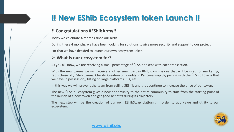## **!! New EShib Ecosystem token Launch !!**

#### **!! Congratulations #EShibArmy!!**

Today we celebrate 4 months since our birth!

During these 4 months, we have been looking for solutions to give more security and support to our project. For that we have decided to launch our own Ecosystem Token.

#### ➢ **What is our ecosystem for?**

As you all know, we are receiving a small percentage of \$EShib tokens with each transaction.

With the new tokens we will receive another small part in BNB, commissions that will be used for marketing, repurchase of \$EShib tokens, Charity, Creation of liquidity in Pancakeswap (by pairing with the \$EShib tokens that we have in possession), listing on large platforms CEX, etc.

In this way we will prevent the team from selling \$EShib and thus continue to increase the price of our token.

The new \$EShib Ecosystem gives a new opportunity to the entire community to start from the starting point of the launch of a new token and get good benefits during its trajectory.

The next step will be the creation of our own EShibSwap platform, in order to add value and utility to our ecosystem.



#### **[www.eshib.es](http://www.eshib.es/)**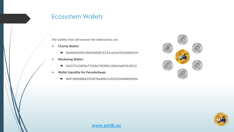### Ecosystem Wallets

The wallets that will receive the tokenomics are:

- ➢ **Charity Wallet:**
	- 0x40d5693f2c366934AdE1CCE1ceA5d7623d469219
- ➢ **Marketing Wallet:**
	- 0xA57f1228FBa77254d738300c1046cEa8E56c9522
- ➢ **Wallet Liquidity for PancakeSwap:**
	- 0x0F1B9A9b6625Fd67bedAfa7cd1AC616eB4fA5b5b